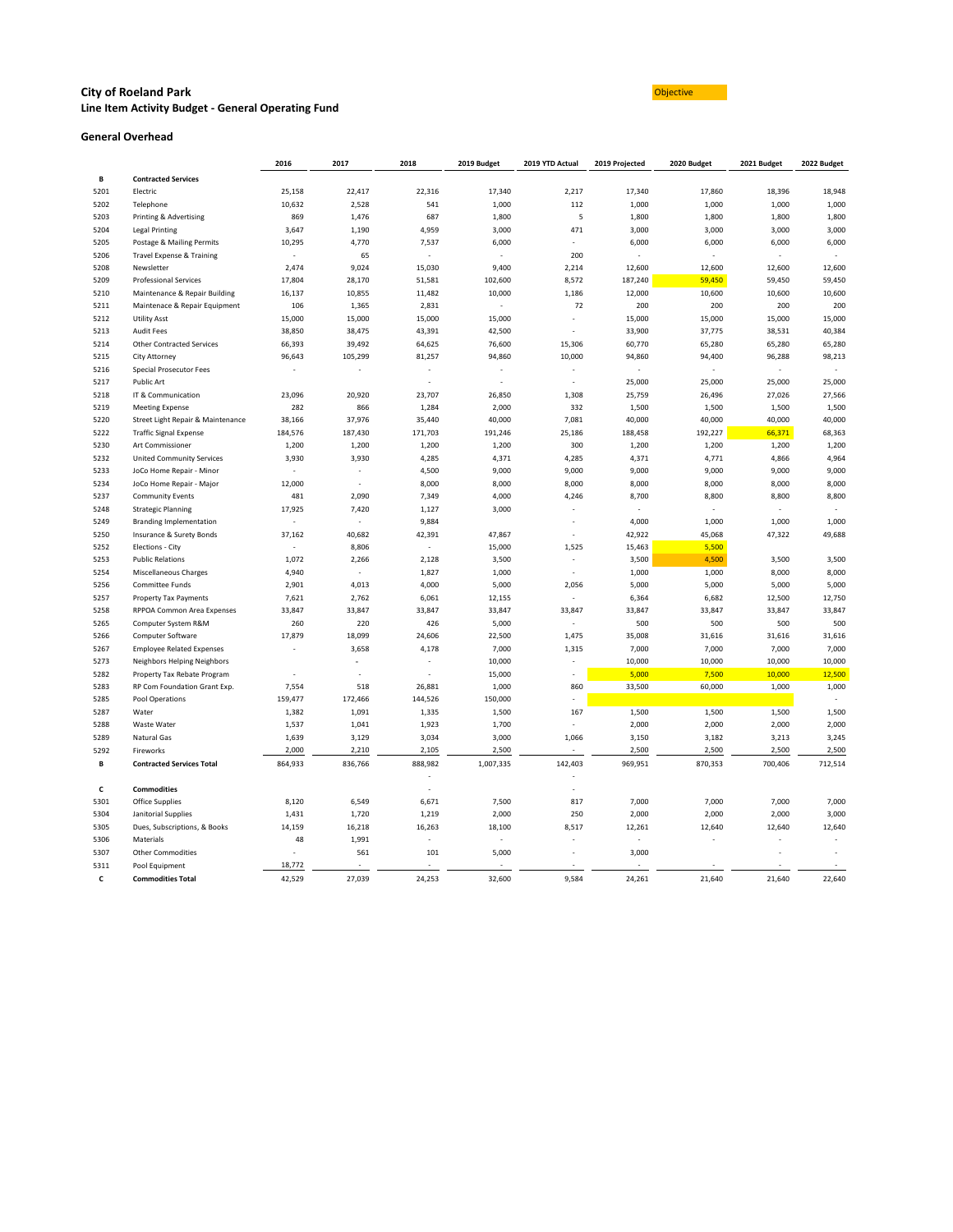#### **City of Roeland Park Construction Construction Construction Construction Construction Construction Construction Line Item Activity Budget - General Operating Fund**

#### **General Overhead**

|      |                                   | 2016                     | 2017                     | 2018                     | 2019 Budget              | 2019 YTD Actual          | 2019 Projected | 2020 Budget              | 2021 Budget | 2022 Budget |
|------|-----------------------------------|--------------------------|--------------------------|--------------------------|--------------------------|--------------------------|----------------|--------------------------|-------------|-------------|
| В    | <b>Contracted Services</b>        |                          |                          |                          |                          |                          |                |                          |             |             |
| 5201 | Electric                          | 25,158                   | 22,417                   | 22,316                   | 17,340                   | 2,217                    | 17,340         | 17,860                   | 18,396      | 18,948      |
| 5202 | Telephone                         | 10,632                   | 2,528                    | 541                      | 1,000                    | 112                      | 1,000          | 1,000                    | 1,000       | 1,000       |
| 5203 | Printing & Advertising            | 869                      | 1,476                    | 687                      | 1,800                    | 5                        | 1,800          | 1,800                    | 1,800       | 1,800       |
| 5204 | Legal Printing                    | 3,647                    | 1,190                    | 4,959                    | 3,000                    | 471                      | 3,000          | 3,000                    | 3,000       | 3,000       |
| 5205 | Postage & Mailing Permits         | 10,295                   | 4,770                    | 7,537                    | 6,000                    |                          | 6,000          | 6,000                    | 6,000       | 6,000       |
| 5206 | Travel Expense & Training         | $\sim$                   | 65                       | $\sim$                   | $\blacksquare$           | 200                      |                |                          |             |             |
| 5208 | Newsletter                        | 2,474                    | 9,024                    | 15,030                   | 9,400                    | 2,214                    | 12,600         | 12,600                   | 12,600      | 12,600      |
| 5209 | <b>Professional Services</b>      | 17,804                   | 28,170                   | 51,581                   | 102,600                  | 8,572                    | 187,240        | 59,450                   | 59,450      | 59,450      |
| 5210 | Maintenance & Repair Building     | 16,137                   | 10,855                   | 11,482                   | 10,000                   | 1,186                    | 12,000         | 10,600                   | 10,600      | 10,600      |
| 5211 | Maintenace & Repair Equipment     | 106                      | 1,365                    | 2,831                    | $\sim$                   | 72                       | 200            | 200                      | 200         | 200         |
| 5212 | <b>Utility Asst</b>               | 15,000                   | 15,000                   | 15,000                   | 15,000                   |                          | 15,000         | 15,000                   | 15,000      | 15,000      |
| 5213 | <b>Audit Fees</b>                 | 38,850                   | 38,475                   | 43,391                   | 42,500                   |                          | 33,900         | 37,775                   | 38,531      | 40,384      |
| 5214 | <b>Other Contracted Services</b>  | 66,393                   | 39,492                   | 64,625                   | 76,600                   | 15,306                   | 60,770         | 65,280                   | 65,280      | 65,280      |
| 5215 | <b>City Attorney</b>              | 96,643                   | 105,299                  | 81,257                   | 94,860                   | 10,000                   | 94,860         | 94,400                   | 96,288      | 98,213      |
| 5216 | <b>Special Prosecutor Fees</b>    |                          |                          | $\overline{\phantom{a}}$ |                          |                          |                | $\overline{\phantom{a}}$ |             | $\sim$      |
| 5217 | Public Art                        |                          |                          | $\overline{\phantom{a}}$ | $\overline{\phantom{a}}$ | $\overline{\phantom{a}}$ | 25,000         | 25,000                   | 25,000      | 25,000      |
| 5218 | IT & Communication                | 23,096                   | 20,920                   | 23,707                   | 26,850                   | 1,308                    | 25,759         | 26,496                   | 27,026      | 27,566      |
| 5219 | <b>Meeting Expense</b>            | 282                      | 866                      | 1,284                    | 2,000                    | 332                      | 1,500          | 1,500                    | 1,500       | 1,500       |
| 5220 | Street Light Repair & Maintenance | 38,166                   | 37,976                   | 35,440                   | 40,000                   | 7,081                    | 40,000         | 40,000                   | 40,000      | 40,000      |
| 5222 | <b>Traffic Signal Expense</b>     | 184,576                  | 187,430                  | 171,703                  | 191,246                  | 25,186                   | 188,458        | 192,227                  | 66,371      | 68,363      |
| 5230 | Art Commissioner                  | 1,200                    | 1,200                    | 1,200                    | 1,200                    | 300                      | 1,200          | 1,200                    | 1,200       | 1,200       |
| 5232 | <b>United Community Services</b>  | 3,930                    | 3,930                    | 4,285                    | 4,371                    | 4,285                    | 4,371          | 4,771                    | 4,866       | 4,964       |
| 5233 | JoCo Home Repair - Minor          | $\overline{\phantom{a}}$ |                          | 4,500                    | 9,000                    | 9,000                    | 9,000          | 9,000                    | 9,000       | 9,000       |
| 5234 | JoCo Home Repair - Major          | 12,000                   |                          | 8,000                    | 8,000                    | 8,000                    | 8,000          | 8,000                    | 8,000       | 8,000       |
| 5237 | <b>Community Events</b>           | 481                      | 2,090                    | 7,349                    | 4,000                    | 4,246                    | 8,700          | 8,800                    | 8,800       | 8,800       |
| 5248 | <b>Strategic Planning</b>         | 17,925                   | 7,420                    | 1,127                    | 3,000                    |                          |                | $\overline{\phantom{a}}$ |             |             |
| 5249 | <b>Branding Implementation</b>    | $\sim$                   | $\overline{\phantom{a}}$ | 9,884                    |                          |                          | 4,000          | 1,000                    | 1,000       | 1,000       |
| 5250 | Insurance & Surety Bonds          | 37,162                   | 40,682                   | 42,391                   | 47,867                   |                          | 42,922         | 45,068                   | 47,322      | 49,688      |
| 5252 | Elections - City                  | $\sim$                   | 8,806                    | $\blacksquare$           | 15,000                   | 1,525                    | 15,463         | 5,500                    |             |             |
| 5253 | <b>Public Relations</b>           | 1,072                    | 2,266                    | 2,128                    | 3,500                    |                          | 3,500          | 4,500                    | 3,500       | 3,500       |
| 5254 | Miscellaneous Charges             | 4,940                    | $\sim$                   | 1,827                    | 1,000                    | $\overline{\phantom{a}}$ | 1,000          | 1,000                    | 8,000       | 8,000       |
| 5256 | <b>Committee Funds</b>            | 2,901                    | 4,013                    | 4,000                    | 5,000                    | 2,056                    | 5,000          | 5,000                    | 5,000       | 5,000       |
| 5257 | <b>Property Tax Payments</b>      | 7,621                    | 2,762                    | 6,061                    | 12,155                   |                          | 6,364          | 6,682                    | 12,500      | 12,750      |
| 5258 | RPPOA Common Area Expenses        | 33,847                   | 33,847                   | 33,847                   | 33,847                   | 33,847                   | 33,847         | 33,847                   | 33,847      | 33,847      |
| 5265 | Computer System R&M               | 260                      | 220                      | 426                      | 5,000                    |                          | 500            | 500                      | 500         | 500         |
| 5266 | Computer Software                 | 17,879                   | 18,099                   | 24,606                   | 22,500                   | 1,475                    | 35,008         | 31,616                   | 31,616      | 31,616      |
| 5267 | <b>Employee Related Expenses</b>  | $\overline{\phantom{a}}$ | 3,658                    | 4,178                    | 7,000                    | 1,315                    | 7,000          | 7,000                    | 7,000       | 7,000       |
| 5273 | Neighbors Helping Neighbors       |                          |                          |                          | 10,000                   |                          | 10,000         | 10,000                   | 10,000      | 10,000      |
| 5282 | Property Tax Rebate Program       | $\overline{\phantom{a}}$ |                          |                          | 15,000                   |                          | 5,000          | 7,500                    | 10,000      | 12,500      |
| 5283 | RP Com Foundation Grant Exp.      | 7,554                    | 518                      | 26,881                   | 1,000                    | 860                      | 33,500         | 60,000                   | 1,000       | 1,000       |
| 5285 | Pool Operations                   | 159,477                  | 172,466                  | 144,526                  | 150,000                  |                          |                |                          |             |             |
| 5287 | Water                             | 1,382                    | 1,091                    | 1,335                    | 1,500                    | 167                      | 1,500          | 1,500                    | 1,500       | 1,500       |
| 5288 | Waste Water                       | 1,537                    | 1,041                    | 1,923                    | 1,700                    |                          | 2,000          | 2,000                    | 2,000       | 2,000       |
| 5289 | Natural Gas                       | 1,639                    | 3,129                    | 3,034                    | 3,000                    | 1,066                    | 3,150          | 3,182                    | 3,213       | 3,245       |
| 5292 | Fireworks                         | 2,000                    | 2,210                    | 2,105                    | 2,500                    | $\sim$                   | 2,500          | 2,500                    | 2,500       | 2,500       |
| В    | <b>Contracted Services Total</b>  | 864,933                  | 836,766                  | 888,982                  | 1,007,335                | 142,403                  | 969,951        | 870,353                  | 700,406     | 712,514     |
| C    | <b>Commodities</b>                |                          |                          | $\overline{\phantom{a}}$ |                          |                          |                |                          |             |             |
| 5301 | <b>Office Supplies</b>            | 8,120                    | 6,549                    | 6,671                    | 7,500                    | 817                      | 7,000          | 7,000                    | 7,000       | 7,000       |
| 5304 | Janitorial Supplies               | 1,431                    | 1,720                    | 1,219                    | 2,000                    | 250                      | 2,000          | 2,000                    | 2,000       | 3,000       |
| 5305 | Dues, Subscriptions, & Books      | 14,159                   | 16,218                   | 16,263                   | 18,100                   | 8,517                    | 12,261         | 12,640                   | 12,640      | 12,640      |
| 5306 | Materials                         | 48                       | 1,991                    | $\blacksquare$           | $\overline{\phantom{a}}$ |                          |                |                          |             |             |
| 5307 | <b>Other Commodities</b>          |                          | 561                      | 101                      | 5,000                    |                          | 3,000          |                          |             |             |
| 5311 | Pool Equipment                    | 18,772                   |                          | $\blacksquare$           | $\sim$                   |                          |                |                          |             |             |
| C    | <b>Commodities Total</b>          | 42,529                   | 27,039                   | 24,253                   | 32,600                   | 9,584                    | 24,261         | 21,640                   | 21,640      | 22,640      |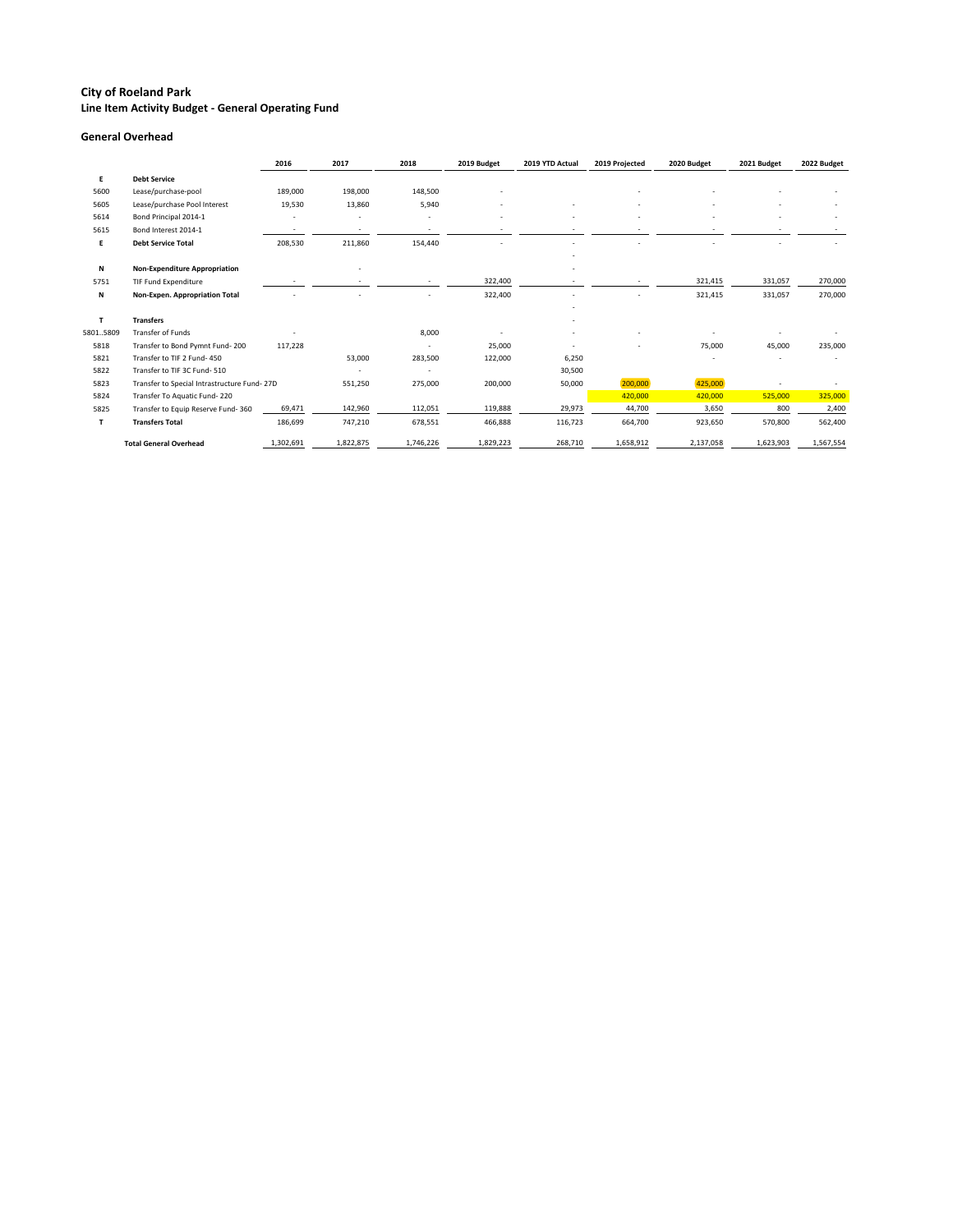### **City of Roeland Park Line Item Activity Budget - General Operating Fund**

### **General Overhead**

|          |                                             | 2016      | 2017                     | 2018      | 2019 Budget | 2019 YTD Actual | 2019 Projected | 2020 Budget | 2021 Budget | 2022 Budget |
|----------|---------------------------------------------|-----------|--------------------------|-----------|-------------|-----------------|----------------|-------------|-------------|-------------|
| E        | <b>Debt Service</b>                         |           |                          |           |             |                 |                |             |             |             |
| 5600     | Lease/purchase-pool                         | 189,000   | 198,000                  | 148,500   |             |                 |                |             |             |             |
| 5605     | Lease/purchase Pool Interest                | 19,530    | 13,860                   | 5,940     |             |                 |                |             |             |             |
| 5614     | Bond Principal 2014-1                       |           | $\overline{\phantom{a}}$ |           |             |                 |                |             |             |             |
| 5615     | Bond Interest 2014-1                        |           | $\overline{\phantom{a}}$ |           |             |                 |                |             |             |             |
| E        | <b>Debt Service Total</b>                   | 208,530   | 211,860                  | 154,440   |             |                 |                |             |             |             |
|          |                                             |           |                          |           |             |                 |                |             |             |             |
| N        | <b>Non-Expenditure Appropriation</b>        |           |                          |           |             |                 |                |             |             |             |
| 5751     | TIF Fund Expenditure                        |           |                          |           | 322,400     |                 |                | 321,415     | 331,057     | 270,000     |
| N        | Non-Expen. Appropriation Total              |           |                          |           | 322,400     |                 |                | 321,415     | 331,057     | 270,000     |
|          |                                             |           |                          |           |             |                 |                |             |             |             |
| Т        | <b>Transfers</b>                            |           |                          |           |             |                 |                |             |             |             |
| 58015809 | Transfer of Funds                           |           |                          | 8,000     |             |                 |                |             |             |             |
| 5818     | Transfer to Bond Pymnt Fund-200             | 117,228   |                          |           | 25,000      |                 |                | 75,000      | 45,000      | 235,000     |
| 5821     | Transfer to TIF 2 Fund- 450                 |           | 53,000                   | 283,500   | 122,000     | 6,250           |                |             |             |             |
| 5822     | Transfer to TIF 3C Fund-510                 |           |                          |           |             | 30,500          |                |             |             |             |
| 5823     | Transfer to Special Intrastructure Fund-27D |           | 551,250                  | 275,000   | 200,000     | 50,000          | 200,000        | 425,000     |             |             |
| 5824     | Transfer To Aquatic Fund-220                |           |                          |           |             |                 | 420,000        | 420,000     | 525,000     | 325,000     |
| 5825     | Transfer to Equip Reserve Fund-360          | 69,471    | 142,960                  | 112,051   | 119,888     | 29,973          | 44,700         | 3,650       | 800         | 2,400       |
| Т        | <b>Transfers Total</b>                      | 186,699   | 747,210                  | 678,551   | 466,888     | 116,723         | 664,700        | 923,650     | 570,800     | 562,400     |
|          | <b>Total General Overhead</b>               | 1,302,691 | 1,822,875                | 1,746,226 | 1,829,223   | 268,710         | 1,658,912      | 2,137,058   | 1,623,903   | 1,567,554   |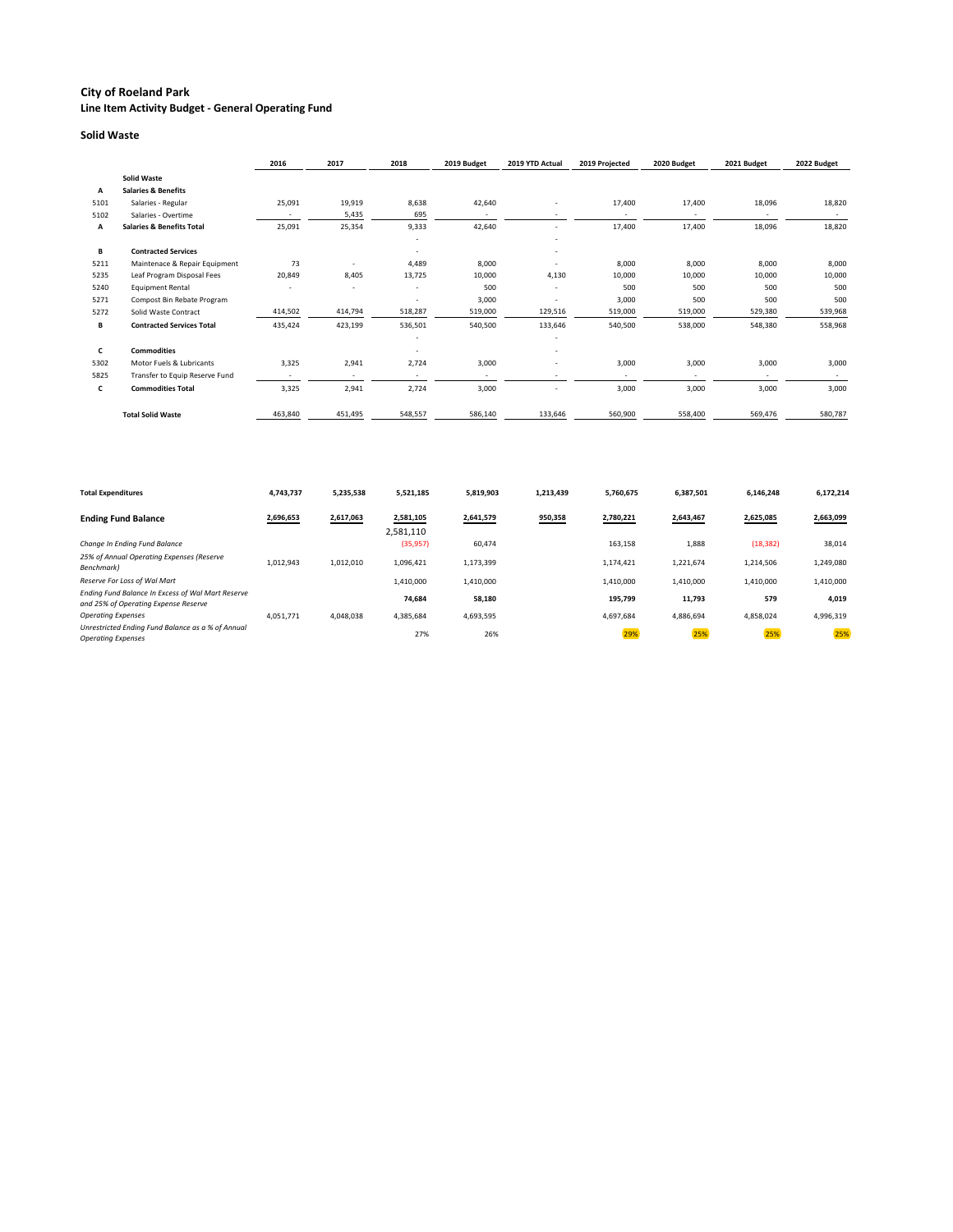### **City of Roeland Park**

**Line Item Activity Budget - General Operating Fund**

#### **Solid Waste**

|      |                                      | 2016    | 2017                     | 2018                     | 2019 Budget              | 2019 YTD Actual          | 2019 Projected | 2020 Budget | 2021 Budget              | 2022 Budget |
|------|--------------------------------------|---------|--------------------------|--------------------------|--------------------------|--------------------------|----------------|-------------|--------------------------|-------------|
|      | <b>Solid Waste</b>                   |         |                          |                          |                          |                          |                |             |                          |             |
| Α    | <b>Salaries &amp; Benefits</b>       |         |                          |                          |                          |                          |                |             |                          |             |
| 5101 | Salaries - Regular                   | 25,091  | 19,919                   | 8,638                    | 42,640                   | $\overline{\phantom{a}}$ | 17,400         | 17,400      | 18,096                   | 18,820      |
| 5102 | Salaries - Overtime                  |         | 5,435                    | 695                      |                          |                          |                |             |                          |             |
| Α    | <b>Salaries &amp; Benefits Total</b> | 25,091  | 25,354                   | 9,333                    | 42,640                   | $\overline{\phantom{a}}$ | 17,400         | 17,400      | 18,096                   | 18,820      |
|      |                                      |         |                          |                          |                          |                          |                |             |                          |             |
| В    | <b>Contracted Services</b>           |         |                          | $\overline{\phantom{a}}$ |                          | $\overline{\phantom{a}}$ |                |             |                          |             |
| 5211 | Maintenace & Repair Equipment        | 73      |                          | 4,489                    | 8,000                    |                          | 8,000          | 8,000       | 8,000                    | 8,000       |
| 5235 | Leaf Program Disposal Fees           | 20,849  | 8,405                    | 13,725                   | 10,000                   | 4,130                    | 10,000         | 10,000      | 10,000                   | 10,000      |
| 5240 | <b>Equipment Rental</b>              |         |                          |                          | 500                      |                          | 500            | 500         | 500                      | 500         |
| 5271 | Compost Bin Rebate Program           |         |                          |                          | 3,000                    | $\overline{\phantom{a}}$ | 3,000          | 500         | 500                      | 500         |
| 5272 | Solid Waste Contract                 | 414,502 | 414,794                  | 518,287                  | 519,000                  | 129,516                  | 519,000        | 519,000     | 529,380                  | 539,968     |
| В    | <b>Contracted Services Total</b>     | 435,424 | 423,199                  | 536,501                  | 540,500                  | 133,646                  | 540,500        | 538,000     | 548,380                  | 558,968     |
|      |                                      |         |                          |                          |                          |                          |                |             |                          |             |
| C    | <b>Commodities</b>                   |         |                          |                          |                          |                          |                |             |                          |             |
| 5302 | Motor Fuels & Lubricants             | 3,325   | 2,941                    | 2,724                    | 3,000                    | $\overline{\phantom{a}}$ | 3,000          | 3,000       | 3,000                    | 3,000       |
| 5825 | Transfer to Equip Reserve Fund       |         | $\overline{\phantom{a}}$ | $\overline{\phantom{a}}$ | $\overline{\phantom{a}}$ |                          |                |             | $\overline{\phantom{a}}$ |             |
| C    | <b>Commodities Total</b>             | 3,325   | 2,941                    | 2,724                    | 3,000                    |                          | 3,000          | 3,000       | 3,000                    | 3,000       |
|      | <b>Total Solid Waste</b>             | 463,840 | 451,495                  | 548,557                  | 586,140                  | 133,646                  | 560,900        | 558,400     | 569,476                  | 580,787     |

| <b>Total Expenditures</b>                                                                 | 4,743,737 | 5,235,538 | 5,521,185              | 5,819,903 | 1,213,439 | 5,760,675 | 6,387,501 | 6,146,248 | 6,172,214 |
|-------------------------------------------------------------------------------------------|-----------|-----------|------------------------|-----------|-----------|-----------|-----------|-----------|-----------|
| <b>Ending Fund Balance</b>                                                                | 2,696,653 | 2,617,063 | 2,581,105<br>2,581,110 | 2,641,579 | 950,358   | 2,780,221 | 2,643,467 | 2,625,085 | 2,663,099 |
| Change In Ending Fund Balance                                                             |           |           | (35, 957)              | 60,474    |           | 163,158   | 1,888     | (18, 382) | 38,014    |
| 25% of Annual Operating Expenses (Reserve<br>Benchmark)                                   | 1,012,943 | 1,012,010 | 1,096,421              | 1,173,399 |           | 1,174,421 | 1,221,674 | 1,214,506 | 1,249,080 |
| Reserve For Loss of Wal Mart                                                              |           |           | 1,410,000              | 1,410,000 |           | 1,410,000 | 1,410,000 | 1,410,000 | 1,410,000 |
| Ending Fund Balance In Excess of Wal Mart Reserve<br>and 25% of Operating Expense Reserve |           |           | 74,684                 | 58,180    |           | 195,799   | 11,793    | 579       | 4,019     |
| <b>Operating Expenses</b>                                                                 | 4,051,771 | 4,048,038 | 4,385,684              | 4,693,595 |           | 4,697,684 | 4,886,694 | 4,858,024 | 4,996,319 |
| Unrestricted Ending Fund Balance as a % of Annual<br><b>Operating Expenses</b>            |           |           | 27%                    | 26%       |           | 29%       | 25%       | 25%       | 25%       |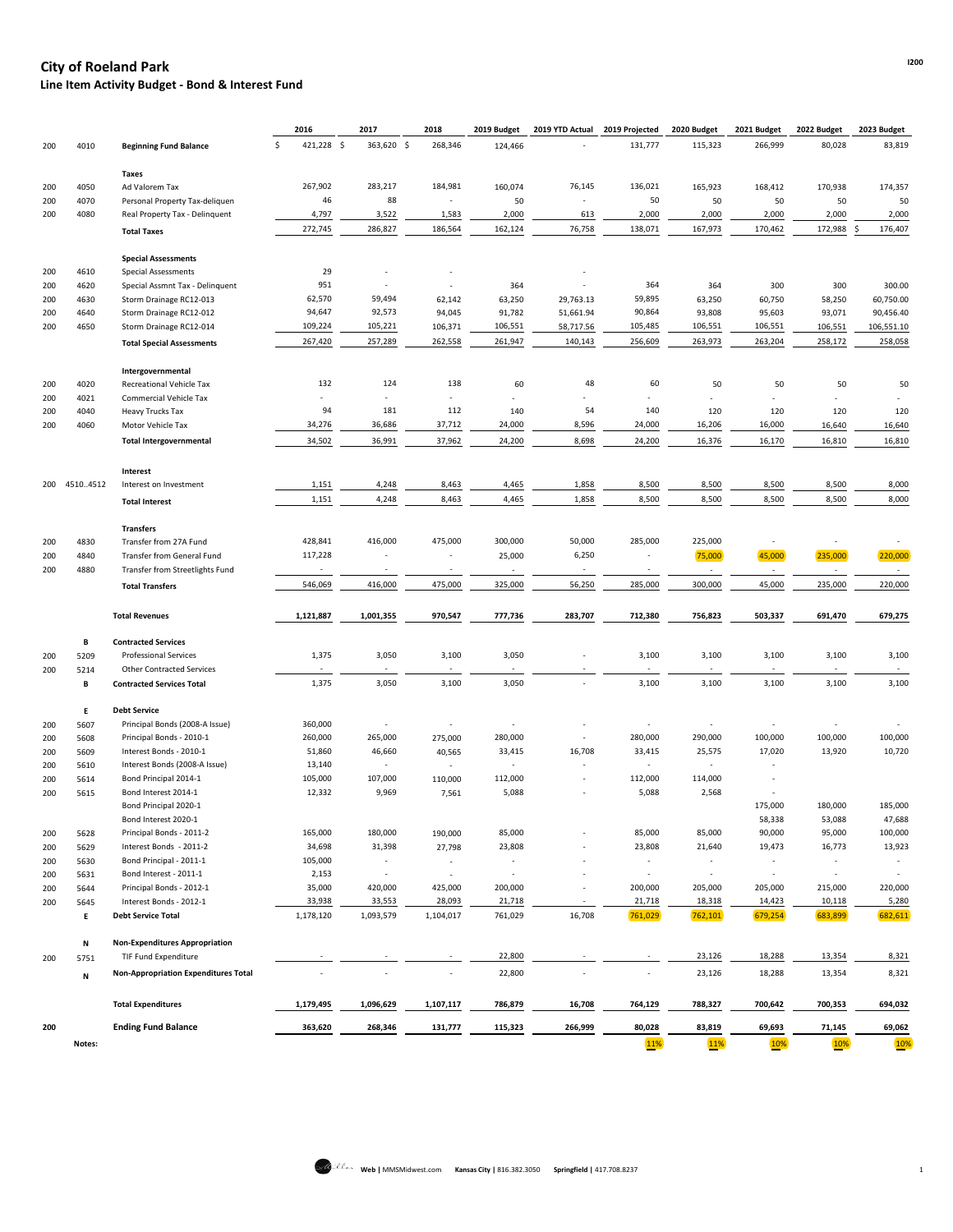## **I200 City of Roeland Park Line Item Activity Budget - Bond & Interest Fund**

|     |              |                                             | 2016             | 2017                     | 2018                     | 2019 Budget              | 2019 YTD Actual          | 2019 Projected           | 2020 Budget              | 2021 Budget              | 2022 Budget              | 2023 Budget |
|-----|--------------|---------------------------------------------|------------------|--------------------------|--------------------------|--------------------------|--------------------------|--------------------------|--------------------------|--------------------------|--------------------------|-------------|
| 200 | 4010         | <b>Beginning Fund Balance</b>               | 421,228 \$<br>Ś. | 363,620 \$               | 268,346                  | 124,466                  |                          | 131,777                  | 115,323                  | 266,999                  | 80,028                   | 83,819      |
|     |              | Taxes                                       |                  |                          |                          |                          |                          |                          |                          |                          |                          |             |
| 200 | 4050         | Ad Valorem Tax                              | 267,902          | 283,217                  | 184,981                  | 160,074                  | 76,145                   | 136,021                  | 165,923                  | 168,412                  | 170,938                  | 174,357     |
| 200 | 4070         | Personal Property Tax-deliquen              | 46               | 88                       | $\overline{\phantom{a}}$ | 50                       |                          | 50                       | 50                       | 50                       | 50                       | 50          |
| 200 | 4080         | Real Property Tax - Delinquent              | 4,797            | 3,522                    | 1,583                    | 2,000                    | 613                      | 2,000                    | 2,000                    | 2,000                    | 2,000                    | 2,000       |
|     |              | <b>Total Taxes</b>                          | 272,745          | 286,827                  | 186,564                  | 162,124                  | 76,758                   | 138,071                  | 167,973                  | 170,462                  | 172,988                  | 176,407     |
|     |              |                                             |                  |                          |                          |                          |                          |                          |                          |                          |                          |             |
|     |              | <b>Special Assessments</b>                  |                  |                          |                          |                          |                          |                          |                          |                          |                          |             |
| 200 | 4610         | <b>Special Assessments</b>                  | 29               |                          |                          |                          |                          |                          |                          |                          |                          |             |
| 200 | 4620         | Special Assmnt Tax - Delinquent             | 951              |                          | $\overline{\phantom{a}}$ | 364                      |                          | 364                      | 364                      | 300                      | 300                      | 300.00      |
| 200 | 4630         | Storm Drainage RC12-013                     | 62,570           | 59,494                   | 62,142                   | 63,250                   | 29,763.13                | 59,895                   | 63,250                   | 60,750                   | 58,250                   | 60,750.00   |
| 200 | 4640         | Storm Drainage RC12-012                     | 94,647           | 92,573                   | 94,045                   | 91,782                   | 51,661.94                | 90,864                   | 93,808                   | 95,603                   | 93,071                   | 90,456.40   |
| 200 | 4650         | Storm Drainage RC12-014                     | 109,224          | 105,221                  | 106,371                  | 106,551                  | 58,717.56                | 105,485                  | 106,551                  | 106,551                  | 106,551                  | 106,551.10  |
|     |              | <b>Total Special Assessments</b>            | 267,420          | 257,289                  | 262,558                  | 261,947                  | 140,143                  | 256,609                  | 263,973                  | 263,204                  | 258,172                  | 258,058     |
|     |              | Intergovernmental                           |                  |                          |                          |                          |                          |                          |                          |                          |                          |             |
| 200 | 4020         | <b>Recreational Vehicle Tax</b>             | 132              | 124                      | 138                      | 60                       | 48                       | 60                       | 50                       | 50                       | 50                       | 50          |
| 200 | 4021         | <b>Commercial Vehicle Tax</b>               |                  |                          | $\overline{\phantom{a}}$ |                          |                          |                          |                          |                          |                          |             |
| 200 | 4040         | <b>Heavy Trucks Tax</b>                     | 94               | 181                      | 112                      | 140                      | 54                       | 140                      | 120                      | 120                      | 120                      | 120         |
| 200 | 4060         | Motor Vehicle Tax                           | 34,276           | 36,686                   | 37,712                   | 24,000                   | 8,596                    | 24,000                   | 16,206                   | 16,000                   | 16,640                   | 16,640      |
|     |              | <b>Total Intergovernmental</b>              | 34,502           | 36,991                   | 37,962                   | 24,200                   | 8,698                    | 24,200                   | 16,376                   | 16,170                   | 16,810                   | 16,810      |
|     |              |                                             |                  |                          |                          |                          |                          |                          |                          |                          |                          |             |
|     | 200 45104512 | Interest<br>Interest on Investment          | 1,151            | 4,248                    | 8,463                    | 4,465                    | 1,858                    | 8,500                    | 8,500                    | 8,500                    | 8,500                    | 8,000       |
|     |              |                                             |                  |                          |                          |                          |                          |                          |                          |                          |                          |             |
|     |              | <b>Total Interest</b>                       | 1,151            | 4,248                    | 8,463                    | 4,465                    | 1,858                    | 8,500                    | 8,500                    | 8,500                    | 8,500                    | 8,000       |
|     |              | <b>Transfers</b>                            |                  |                          |                          |                          |                          |                          |                          |                          |                          |             |
| 200 | 4830         | Transfer from 27A Fund                      | 428,841          | 416,000                  | 475,000                  | 300,000                  | 50,000                   | 285,000                  | 225,000                  |                          |                          |             |
| 200 | 4840         | Transfer from General Fund                  | 117,228          |                          |                          | 25,000                   | 6,250                    |                          | 75,000                   | 45,000                   | 235,000                  | 220,000     |
| 200 | 4880         | Transfer from Streetlights Fund             | $\sim$           | $\overline{\phantom{a}}$ | $\overline{\phantom{a}}$ |                          |                          |                          | $\sim$                   |                          |                          | $\sim$      |
|     |              | <b>Total Transfers</b>                      | 546,069          | 416,000                  | 475,000                  | 325,000                  | 56,250                   | 285,000                  | 300,000                  | 45,000                   | 235,000                  | 220,000     |
|     |              | <b>Total Revenues</b>                       | 1,121,887        | 1,001,355                | 970,547                  | 777,736                  | 283,707                  | 712,380                  | 756,823                  | 503,337                  | 691,470                  | 679,275     |
|     |              |                                             |                  |                          |                          |                          |                          |                          |                          |                          |                          |             |
|     | В            | <b>Contracted Services</b>                  |                  |                          |                          |                          |                          |                          |                          |                          |                          |             |
| 200 | 5209         | <b>Professional Services</b>                | 1,375            | 3,050                    | 3,100                    | 3,050                    |                          | 3,100                    | 3,100                    | 3,100                    | 3,100                    | 3,100       |
| 200 | 5214         | <b>Other Contracted Services</b>            | $\sim$           | $\sim$                   | $\sim$                   | $\sim$                   | $\sim$                   | $\sim$                   | $\sim$                   | $\sim$                   | $\sim$                   | $\sim$      |
|     | В            | <b>Contracted Services Total</b>            | 1,375            | 3,050                    | 3,100                    | 3,050                    | $\overline{\phantom{a}}$ | 3,100                    | 3,100                    | 3,100                    | 3,100                    | 3,100       |
|     | E.           | <b>Debt Service</b>                         |                  |                          |                          |                          |                          |                          |                          |                          |                          |             |
| 200 | 5607         | Principal Bonds (2008-A Issue)              | 360,000          | $\overline{\phantom{a}}$ | $\overline{\phantom{a}}$ |                          |                          | $\overline{\phantom{a}}$ | $\overline{\phantom{a}}$ | $\overline{\phantom{a}}$ | $\overline{\phantom{a}}$ |             |
| 200 | 5608         | Principal Bonds - 2010-1                    | 260,000          | 265,000                  | 275,000                  | 280,000                  |                          | 280,000                  | 290,000                  | 100,000                  | 100,000                  | 100,000     |
| 200 | 5609         | Interest Bonds - 2010-1                     | 51,860           | 46,660                   | 40,565                   | 33,415                   | 16,708                   | 33,415                   | 25,575                   | 17,020                   | 13,920                   | 10,720      |
| 200 | 5610         | Interest Bonds (2008-A Issue)               | 13,140           | $\sim$                   | $\overline{\phantom{a}}$ |                          |                          | $\overline{\phantom{a}}$ |                          |                          |                          |             |
| 200 | 5614         | Bond Principal 2014-1                       | 105,000          | 107,000                  | 110,000                  | 112,000                  | $\overline{\phantom{a}}$ | 112,000                  | 114,000                  | $\overline{\phantom{a}}$ |                          |             |
| 200 | 5615         | Bond Interest 2014-1                        | 12,332           | 9,969                    | 7,561                    | 5,088                    |                          | 5,088                    | 2,568                    | $\overline{\phantom{a}}$ |                          |             |
|     |              | Bond Principal 2020-1                       |                  |                          |                          |                          |                          |                          |                          | 175,000                  | 180,000                  | 185,000     |
|     |              | Bond Interest 2020-1                        |                  |                          |                          |                          |                          |                          |                          | 58,338                   | 53,088                   | 47,688      |
| 200 | 5628         | Principal Bonds - 2011-2                    | 165,000          | 180,000                  | 190,000                  | 85,000                   |                          | 85,000                   | 85,000                   | 90,000                   | 95,000                   | 100,000     |
| 200 | 5629         | Interest Bonds - 2011-2                     | 34,698           | 31,398                   | 27,798                   | 23,808                   |                          | 23,808                   | 21,640                   | 19,473                   | 16,773                   | 13,923      |
| 200 | 5630         | Bond Principal - 2011-1                     | 105,000          | $\sim$                   | $\overline{\phantom{a}}$ | $\overline{\phantom{a}}$ |                          | $\overline{\phantom{a}}$ | $\overline{\phantom{a}}$ | $\overline{\phantom{a}}$ | $\sim$                   |             |
| 200 | 5631         | Bond Interest - 2011-1                      | 2,153            | $\sim$                   | $\overline{\phantom{a}}$ | $\sim$                   |                          | $\sim$                   | $\overline{\phantom{a}}$ | $\blacksquare$           | $\sim$                   |             |
| 200 | 5644         | Principal Bonds - 2012-1                    | 35,000           | 420,000                  | 425,000                  | 200,000                  |                          | 200,000                  | 205,000                  | 205,000                  | 215,000                  | 220,000     |
| 200 | 5645         | Interest Bonds - 2012-1                     | 33,938           | 33,553                   | 28,093                   | 21,718                   |                          | 21,718                   | 18,318                   | 14,423                   | 10,118                   | 5,280       |
|     | E.           | <b>Debt Service Total</b>                   | 1,178,120        | 1,093,579                | 1,104,017                | 761,029                  | 16,708                   | 761,029                  | 762,101                  | 679,254                  | 683,899                  | 682,611     |
|     | N            | <b>Non-Expenditures Appropriation</b>       |                  |                          |                          |                          |                          |                          |                          |                          |                          |             |
| 200 | 5751         | TIF Fund Expenditure                        |                  |                          | $\overline{\phantom{a}}$ | 22,800                   |                          | $\sim$                   | 23,126                   | 18,288                   | 13,354                   | 8,321       |
|     | N            | <b>Non-Appropriation Expenditures Total</b> |                  |                          |                          | 22,800                   |                          | $\overline{\phantom{a}}$ | 23,126                   | 18,288                   | 13,354                   | 8,321       |

|        | <b>Total Expenditures</b>  | 1,179,495 | 1.096.629 | 1,107,117 | 786.879 | 16,708  | 764.129 | 788.327 | 700.642 | 700.353 | 694,032 |
|--------|----------------------------|-----------|-----------|-----------|---------|---------|---------|---------|---------|---------|---------|
| 200    | <b>Ending Fund Balance</b> | 363,620   | 268.346   | 131,777   | 115,323 | 266,999 | 80,028  | 83,819  | 69,693  | 71,145  | 69,062  |
| Notes: |                            |           |           |           |         |         |         |         |         |         |         |

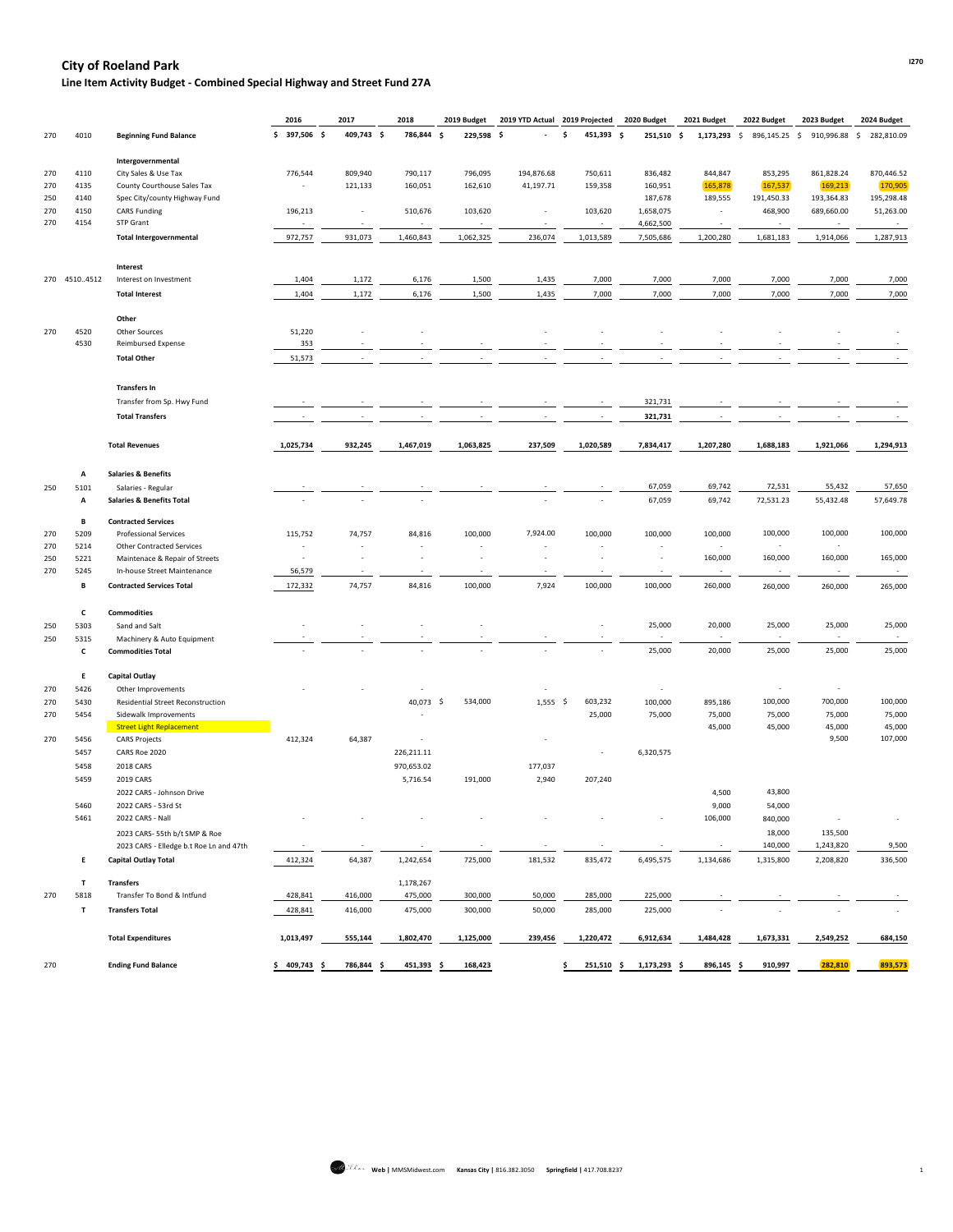# **I270 City of Roeland Park**

**Line Item Activity Budget - Combined Special Highway and Street Fund 27A**

|     |              |                                                                        | 2016                                | 2017                               | 2018                     | 2019 Budget                         | 2019 YTD Actual 2019 Projected |                          | 2020 Budget              | 2021 Budget              | 2022 Budget              | 2023 Budget              | 2024 Budget      |
|-----|--------------|------------------------------------------------------------------------|-------------------------------------|------------------------------------|--------------------------|-------------------------------------|--------------------------------|--------------------------|--------------------------|--------------------------|--------------------------|--------------------------|------------------|
| 270 | 4010         | <b>Beginning Fund Balance</b>                                          | 397,506 \$<br>Ŝ.                    | 409,743 \$                         | 786,844 \$               | 229,598 \$                          |                                | 451,393 \$               | 251,510 \$               | 1,173,293                | 896,145.25<br>\$         | 910,996.88<br>\$         | 282,810.09<br>\$ |
|     |              | Intergovernmental                                                      |                                     |                                    |                          |                                     |                                |                          |                          |                          |                          |                          |                  |
| 270 | 4110         | City Sales & Use Tax                                                   | 776,544                             | 809,940                            | 790,117                  | 796,095                             | 194,876.68                     | 750,611                  | 836,482                  | 844,847                  | 853,295                  | 861,828.24               | 870,446.52       |
| 270 | 4135         | County Courthouse Sales Tax                                            |                                     | 121,133                            | 160,051                  | 162,610                             | 41,197.71                      | 159,358                  | 160,951                  | 165,878                  | 167,537                  | 169,213                  | 170,905          |
| 250 | 4140         | Spec City/county Highway Fund                                          |                                     |                                    |                          |                                     |                                |                          | 187,678                  | 189,555                  | 191,450.33               | 193,364.83               | 195,298.48       |
| 270 | 4150         | <b>CARS Funding</b>                                                    | 196,213                             |                                    | 510,676                  | 103,620                             |                                | 103,620                  | 1,658,075                |                          | 468,900                  | 689,660.00               | 51,263.00        |
| 270 | 4154         | STP Grant                                                              |                                     |                                    |                          |                                     |                                | $\sim$                   | 4,662,500                |                          |                          |                          | $\sim$           |
|     |              | <b>Total Intergovernmental</b>                                         | 972,757                             | 931,073                            | 1,460,843                | 1,062,325                           | 236,074                        | 1,013,589                | 7,505,686                | 1,200,280                | 1,681,183                | 1,914,066                | 1,287,913        |
|     |              | Interest                                                               |                                     |                                    |                          |                                     |                                |                          |                          |                          |                          |                          |                  |
|     | 270 45104512 | Interest on Investment                                                 | 1,404                               | 1,172                              | 6,176                    | 1,500                               | 1,435                          | 7,000                    | 7,000                    | 7,000                    | 7,000                    | 7,000                    | 7,000            |
|     |              | <b>Total Interest</b>                                                  | 1,404                               | 1,172                              | 6,176                    | 1,500                               | 1,435                          | 7,000                    | 7,000                    | 7,000                    | 7,000                    | 7,000                    | 7,000            |
|     |              |                                                                        |                                     |                                    |                          |                                     |                                |                          |                          |                          |                          |                          |                  |
|     |              | Other                                                                  |                                     |                                    |                          |                                     |                                |                          |                          |                          |                          |                          |                  |
| 270 | 4520         | Other Sources                                                          | 51,220                              |                                    |                          |                                     |                                |                          |                          |                          |                          |                          |                  |
|     | 4530         | <b>Reimbursed Expense</b>                                              | 353                                 |                                    |                          |                                     |                                |                          |                          |                          |                          |                          |                  |
|     |              | <b>Total Other</b>                                                     | 51,573                              |                                    |                          |                                     |                                |                          |                          |                          |                          |                          |                  |
|     |              | <b>Transfers In</b>                                                    |                                     |                                    |                          |                                     |                                |                          |                          |                          |                          |                          |                  |
|     |              | Transfer from Sp. Hwy Fund                                             |                                     |                                    |                          |                                     |                                |                          | 321,731                  |                          |                          |                          |                  |
|     |              |                                                                        |                                     |                                    |                          |                                     |                                |                          |                          |                          |                          |                          |                  |
|     |              | <b>Total Transfers</b>                                                 |                                     |                                    |                          |                                     |                                |                          | 321,731                  |                          |                          |                          |                  |
|     |              | <b>Total Revenues</b>                                                  | 1,025,734                           | 932,245                            | 1,467,019                | 1,063,825                           | 237,509                        | 1,020,589                | 7,834,417                | 1,207,280                | 1,688,183                | 1,921,066                | 1,294,913        |
|     | A            | <b>Salaries &amp; Benefits</b>                                         |                                     |                                    |                          |                                     |                                |                          |                          |                          |                          |                          |                  |
| 250 | 5101         | Salaries - Regular                                                     |                                     |                                    |                          |                                     |                                |                          | 67,059                   | 69,742                   | 72,531                   | 55,432                   | 57,650           |
|     | Α            | <b>Salaries &amp; Benefits Total</b>                                   |                                     |                                    |                          |                                     |                                |                          | 67,059                   | 69,742                   | 72,531.23                | 55,432.48                | 57,649.78        |
|     | В            | <b>Contracted Services</b>                                             |                                     |                                    |                          |                                     |                                |                          |                          |                          |                          |                          |                  |
| 270 | 5209         | <b>Professional Services</b>                                           | 115,752                             | 74,757                             | 84,816                   | 100,000                             | 7,924.00                       | 100,000                  | 100,000                  | 100,000                  | 100,000                  | 100,000                  | 100,000          |
| 270 | 5214         | <b>Other Contracted Services</b>                                       |                                     |                                    |                          |                                     |                                |                          |                          |                          |                          |                          |                  |
| 250 | 5221         | Maintenace & Repair of Streets                                         |                                     |                                    |                          |                                     |                                |                          |                          | 160,000                  | 160,000                  | 160,000                  | 165,000          |
| 270 | 5245         | In-house Street Maintenance                                            | 56,579                              | $\overline{\phantom{a}}$           | $\overline{\phantom{a}}$ | $\overline{\phantom{0}}$            | $\overline{\phantom{a}}$       | $\overline{\phantom{a}}$ | $\overline{\phantom{a}}$ | $\overline{\phantom{a}}$ | $\overline{\phantom{a}}$ | $\sim$                   | $\sim$           |
|     | В            | <b>Contracted Services Total</b>                                       | 172,332                             | 74,757                             | 84,816                   | 100,000                             | 7,924                          | 100,000                  | 100,000                  | 260,000                  | 260,000                  | 260,000                  | 265,000          |
|     |              |                                                                        |                                     |                                    |                          |                                     |                                |                          |                          |                          |                          |                          |                  |
|     | C            | <b>Commodities</b>                                                     |                                     |                                    |                          |                                     |                                |                          |                          |                          |                          |                          |                  |
| 250 | 5303         | Sand and Salt                                                          |                                     |                                    |                          |                                     |                                | $\overline{\phantom{a}}$ | 25,000                   | 20,000                   | 25,000                   | 25,000                   | 25,000           |
| 250 | 5315         | Machinery & Auto Equipment                                             |                                     |                                    |                          |                                     |                                |                          | $\sim$                   | $\sim$                   | $\sim$                   | $\sim$                   | $\sim$           |
|     | C            | <b>Commodities Total</b>                                               |                                     |                                    |                          |                                     |                                | $\overline{\phantom{a}}$ | 25,000                   | 20,000                   | 25,000                   | 25,000                   | 25,000           |
|     | Е            | <b>Capital Outlay</b>                                                  |                                     |                                    |                          |                                     |                                |                          |                          |                          |                          |                          |                  |
| 270 | 5426         | Other Improvements                                                     |                                     |                                    |                          |                                     |                                |                          |                          |                          |                          | $\overline{\phantom{a}}$ |                  |
| 270 | 5430         | <b>Residential Street Reconstruction</b>                               |                                     |                                    | 40,073 \$                | 534,000                             | $1,555$ \$                     | 603,232                  | 100,000                  | 895,186                  | 100,000                  | 700,000                  | 100,000          |
| 270 | 5454         | Sidewalk Improvements                                                  |                                     |                                    |                          |                                     |                                | 25,000                   | 75,000                   | 75,000                   | 75,000                   | 75,000                   | 75,000           |
|     |              | <b>Street Light Replacement</b>                                        |                                     |                                    |                          |                                     |                                |                          |                          | 45,000                   | 45,000                   | 45,000                   | 45,000           |
| 270 | 5456         | <b>CARS Projects</b>                                                   | 412,324                             | 64,387                             | $\overline{\phantom{a}}$ |                                     |                                |                          |                          |                          |                          | 9,500                    | 107,000          |
|     | 5457         | CARS Roe 2020                                                          |                                     |                                    | 226,211.11               |                                     |                                | $\overline{\phantom{a}}$ | 6,320,575                |                          |                          |                          |                  |
|     | 5458         | 2018 CARS                                                              |                                     |                                    | 970,653.02               |                                     | 177,037                        |                          |                          |                          |                          |                          |                  |
|     | 5459         | 2019 CARS                                                              |                                     |                                    | 5,716.54                 | 191,000                             | 2,940                          | 207,240                  |                          |                          |                          |                          |                  |
|     |              | 2022 CARS - Johnson Drive                                              |                                     |                                    |                          |                                     |                                |                          |                          | 4,500                    | 43,800                   |                          |                  |
|     | 5460         | 2022 CARS - 53rd St                                                    |                                     |                                    |                          |                                     |                                |                          |                          | 9,000                    | 54,000                   |                          |                  |
|     | 5461         | 2022 CARS - Nall                                                       |                                     |                                    |                          |                                     |                                |                          |                          | 106,000                  | 840,000                  |                          |                  |
|     |              |                                                                        |                                     |                                    |                          |                                     |                                |                          |                          |                          |                          |                          |                  |
|     |              | 2023 CARS- 55th b/t SMP & Roe                                          |                                     |                                    |                          |                                     |                                |                          |                          |                          | 18,000                   | 135,500                  |                  |
|     | E.           | 2023 CARS - Elledge b.t Roe Ln and 47th<br><b>Capital Outlay Total</b> | $\overline{\phantom{a}}$<br>412,324 | $\overline{\phantom{a}}$<br>64,387 | 1,242,654                | $\overline{\phantom{a}}$<br>725,000 | 181,532                        | 835,472                  | 6,495,575                | 1,134,686                | 140,000<br>1,315,800     | 1,243,820<br>2,208,820   | 9,500<br>336,500 |
|     |              |                                                                        |                                     |                                    |                          |                                     |                                |                          |                          |                          |                          |                          |                  |
|     | T            | <b>Transfers</b>                                                       |                                     |                                    | 1,178,267                |                                     |                                |                          |                          |                          |                          |                          |                  |

| 270 | 5818 | Transfer To Bond & Intfund | 428,841   | 416,000 | 475,000   | 300,000   | 50,000  | 285,000   | 225,000   |           |           |           |         |
|-----|------|----------------------------|-----------|---------|-----------|-----------|---------|-----------|-----------|-----------|-----------|-----------|---------|
|     |      | <b>Transfers Total</b>     | 428,841   | 416,000 | 475,000   | 300,000   | 50,000  | 285,000   | 225,000   |           |           |           |         |
|     |      | <b>Total Expenditures</b>  | 1,013,497 | 555,144 | 1,802,470 | 1,125,000 | 239,456 | 1,220,472 | 6,912,634 | 1,484,428 | 1,673,331 | 2,549,252 | 684,150 |
| 270 |      | <b>Ending Fund Balance</b> | 409,743   | 786,844 | 451,393   | 168,423   |         | 251,510   | 1,173,293 | 896,145   | 910,997   | 282,810   | 893,573 |